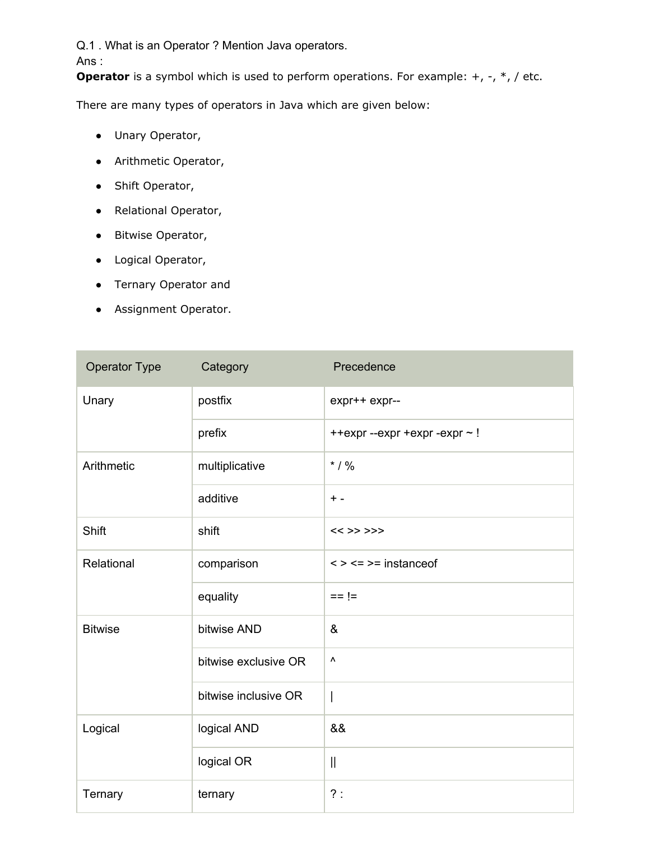Q.1 . What is an Operator ? Mention Java operators.

Ans :

**Operator** is a symbol which is used to perform operations. For example: +, -, \*, / etc.

There are many types of operators in Java which are given below:

- Unary Operator,
- Arithmetic Operator,
- Shift Operator,
- Relational Operator,
- Bitwise Operator,
- Logical Operator,
- Ternary Operator and
- Assignment Operator.

| Operator Type  | Category             | Precedence                        |
|----------------|----------------------|-----------------------------------|
| Unary          | postfix              | expr++ expr--                     |
|                | prefix               | ++expr --expr +expr -expr ~!      |
| Arithmetic     | multiplicative       | $*$ / %                           |
|                | additive             | $+ -$                             |
| Shift          | shift                | $<<$ >> >>>                       |
| Relational     | comparison           | $\leq$ > $\leq$ = > = instance of |
|                | equality             | $== !=$                           |
| <b>Bitwise</b> | bitwise AND          | &                                 |
|                | bitwise exclusive OR | ۸                                 |
|                | bitwise inclusive OR | $\overline{\phantom{a}}$          |
| Logical        | logical AND          | &&                                |
|                | logical OR           | $\mathbf{I}$                      |
| Ternary        | ternary              | ?:                                |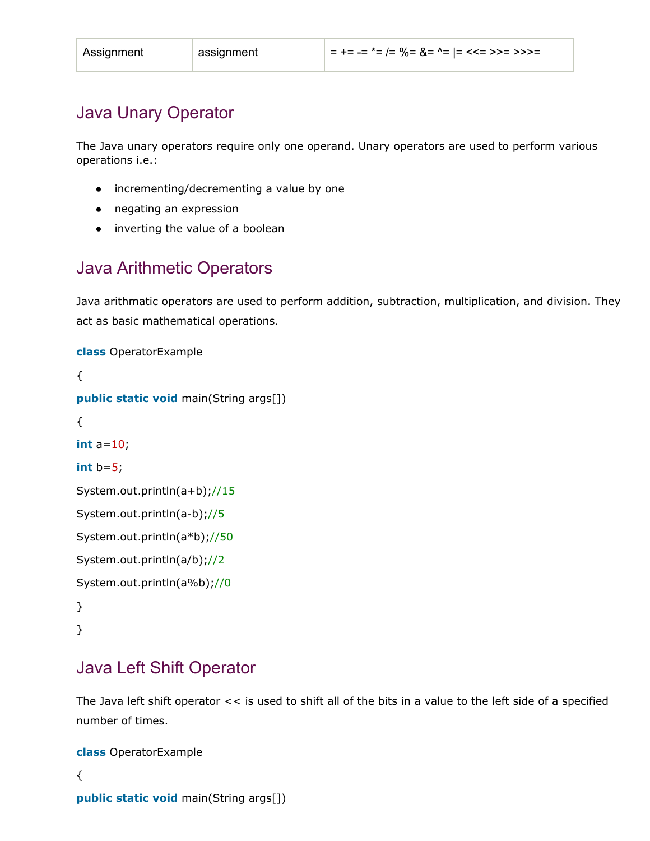# Java Unary Operator

The Java unary operators require only one operand. Unary operators are used to perform various operations i.e.:

- incrementing/decrementing a value by one
- negating an expression
- inverting the value of a boolean

# Java Arithmetic Operators

Java arithmatic operators are used to perform addition, subtraction, multiplication, and division. They act as basic mathematical operations.

```
class OperatorExample
{
public static void main(String args[])
{
int a=10;
int b=5;
System.out.println(a+b);//15
System.out.println(a-b);//5
System.out.println(a*b);//50
System.out.println(a/b);//2
System.out.println(a%b);//0
}
}
```
# Java Left Shift Operator

The Java left shift operator << is used to shift all of the bits in a value to the left side of a specified number of times.

```
class OperatorExample
{
public static void main(String args[])
```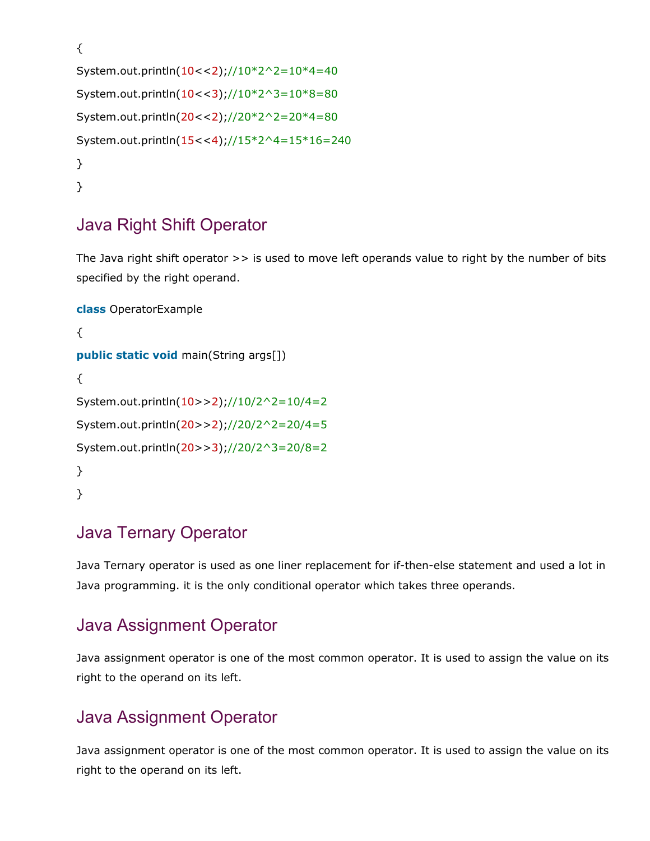```
{
System.out.println(10<<2);//10*2^2=10*4=40
System.out.println(10<<3);//10*2^3=10*8=80
System.out.println(20<<2);//20*2^2=20*4=80
System.out.println(15<<4);//15*2^4=15*16=240
}
}
```
# Java Right Shift Operator

The Java right shift operator >> is used to move left operands value to right by the number of bits specified by the right operand.

```
class OperatorExample
{
public static void main(String args[])
{
System.out.println(10>>2);//10/2^2=10/4=2
System.out.println(20>>2);//20/2^2=20/4=5
System.out.println(20>>3);//20/2^3=20/8=2
}
}
```
# Java Ternary Operator

Java Ternary operator is used as one liner replacement for if-then-else statement and used a lot in Java programming. it is the only conditional operator which takes three operands.

# Java Assignment Operator

Java assignment operator is one of the most common operator. It is used to assign the value on its right to the operand on its left.

# Java Assignment Operator

Java assignment operator is one of the most common operator. It is used to assign the value on its right to the operand on its left.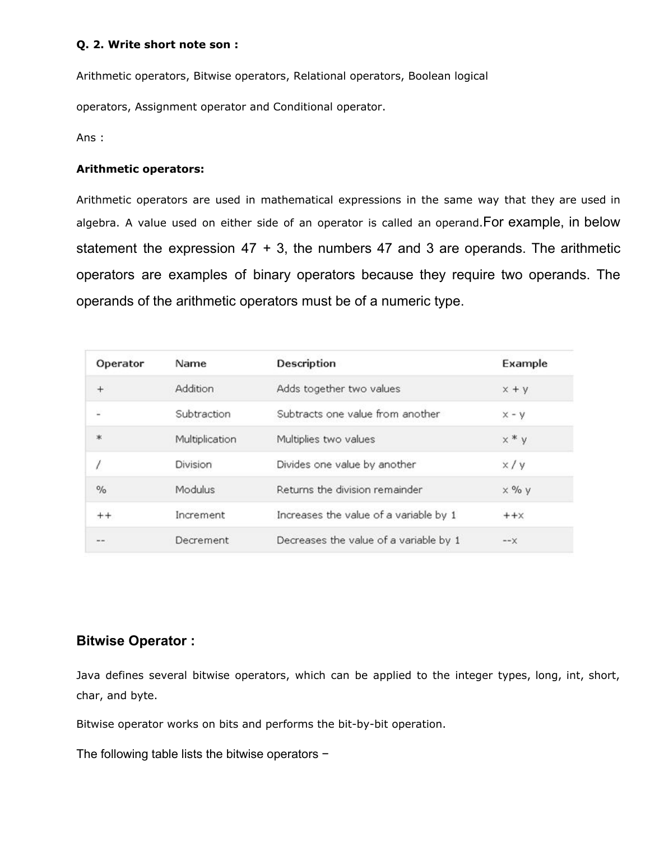#### **Q. 2. Write short note son :**

Arithmetic operators, Bitwise operators, Relational operators, Boolean logical

operators, Assignment operator and Conditional operator.

Ans :

#### **Arithmetic operators:**

Arithmetic operators are used in mathematical expressions in the same way that they are used in algebra. A value used on either side of an operator is called an operand.For example, in below statement the expression  $47 + 3$ , the numbers  $47$  and 3 are operands. The arithmetic operators are examples of binary operators because they require two operands. The operands of the arithmetic operators must be of a numeric type.

| Operator | Name           | Description                            | Example      |
|----------|----------------|----------------------------------------|--------------|
| $^{+}$   | Addition       | Adds together two values               | $x + y$      |
| 날        | Subtraction    | Subtracts one value from another       | $x - y$      |
| *        | Multiplication | Multiplies two values                  | $x * y$      |
|          | Division       | Divides one value by another           | x/y          |
| $\%$     | Modulus        | Returns the division remainder         | $\times$ % y |
| $++$     | Increment      | Increases the value of a variable by 1 | $++x$        |
| and sea. | Decrement      | Decreases the value of a variable by 1 | $ \times$    |

# **Bitwise Operator :**

Java defines several bitwise operators, which can be applied to the integer types, long, int, short, char, and byte.

Bitwise operator works on bits and performs the bit-by-bit operation.

The following table lists the bitwise operators −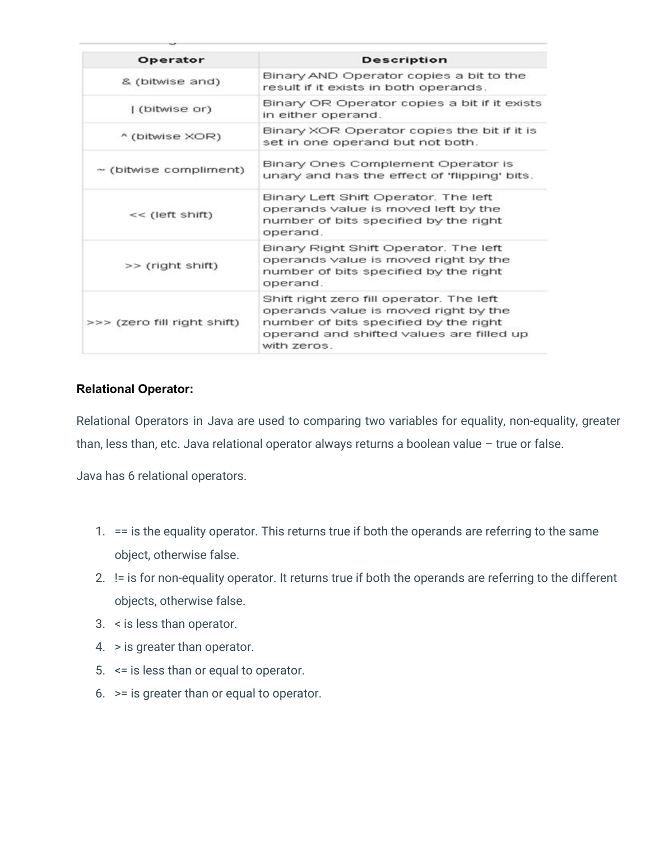| Operator                    | <b>Description</b>                                                                                                                                                                   |  |
|-----------------------------|--------------------------------------------------------------------------------------------------------------------------------------------------------------------------------------|--|
| & (bitwise and)             | Binary AND Operator copies a bit to the<br>result if it exists in both operands.                                                                                                     |  |
| (bitwise or)                | Binary OR Operator copies a bit if it exists<br>in either operand.                                                                                                                   |  |
| ^ (bitwise XOR)             | Binary XOR Operator copies the bit if it is<br>set in one operand but not both.                                                                                                      |  |
| $\sim$ (bitwise compliment) | Binary Ones Complement Operator is<br>unary and has the effect of 'flipping' bits.                                                                                                   |  |
| $<<$ (left shift)           | Binary Left Shift Operator. The left<br>operands value is moved left by the<br>number of bits specified by the right<br>operand.                                                     |  |
| >> (right shift)            | Binary Right Shift Operator. The left<br>operands value is moved right by the<br>number of bits specified by the right<br>operand.                                                   |  |
| >>> (zero fill right shift) | Shift right zero fill operator. The left<br>operands value is moved right by the<br>number of bits specified by the right<br>operand and shifted values are filled up<br>with zeros. |  |

# **Relational Operator:**

Relational Operators in Java are used to comparing two variables for equality, non-equality, greater than, less than, etc. Java relational operator always returns a boolean value - true or false.

Java has 6 relational operators.

- 1. == is the equality operator. This returns true if both the operands are referring to the same object, otherwise false.
- 2. != is for non-equality operator. It returns true if both the operands are referring to the different objects, otherwise false.
- 3. < is less than operator.
- 4. > is greater than operator.
- 5. <= is less than or equal to operator.
- 6. >= is greater than or equal to operator.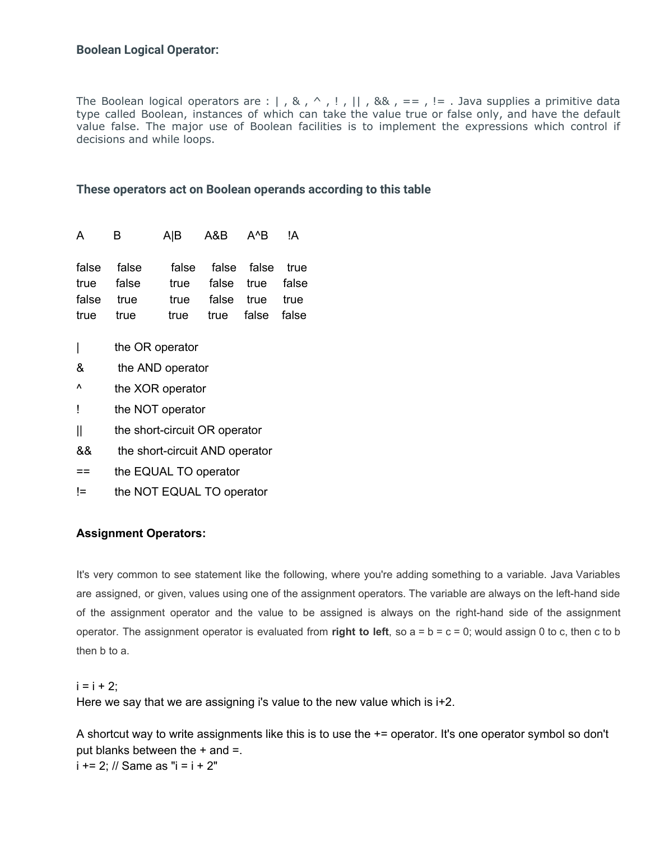### **Boolean Logical Operator:**

The Boolean logical operators are :  $|$ , &, ^,!, ||, &&, ==,!=. Java supplies a primitive data type called Boolean, instances of which can take the value true or false only, and have the default value false. The major use of Boolean facilities is to implement the expressions which control if decisions and while loops.

#### **These operators act on Boolean operands according to this table**

| A B                     |                           | A B A&B A^B !A                                                                                   |  |
|-------------------------|---------------------------|--------------------------------------------------------------------------------------------------|--|
| false true<br>true true | false false<br>true false | false false false true<br>true false true false<br>true false true true<br>true true false false |  |
|                         |                           |                                                                                                  |  |

- | the OR operator
- & the AND operator
- ^ the XOR operator
- ! the NOT operator
- || the short-circuit OR operator
- && the short-circuit AND operator
- == the EQUAL TO operator
- != the NOT EQUAL TO operator

#### **Assignment Operators:**

It's very common to see statement like the following, where you're adding something to a variable. Java Variables are assigned, or given, values using one of the assignment operators. The variable are always on the left-hand side of the assignment operator and the value to be assigned is always on the right-hand side of the assignment operator. The assignment operator is evaluated from **right to left**, so  $a = b = c = 0$ ; would assign 0 to c, then c to b then b to a.

 $i = i + 2$ ;

Here we say that we are assigning i's value to the new value which is i+2.

A shortcut way to write assignments like this is to use the += operator. It's one operator symbol so don't put blanks between the  $+$  and  $=$ .  $i + = 2$ ; // Same as " $i = i + 2$ "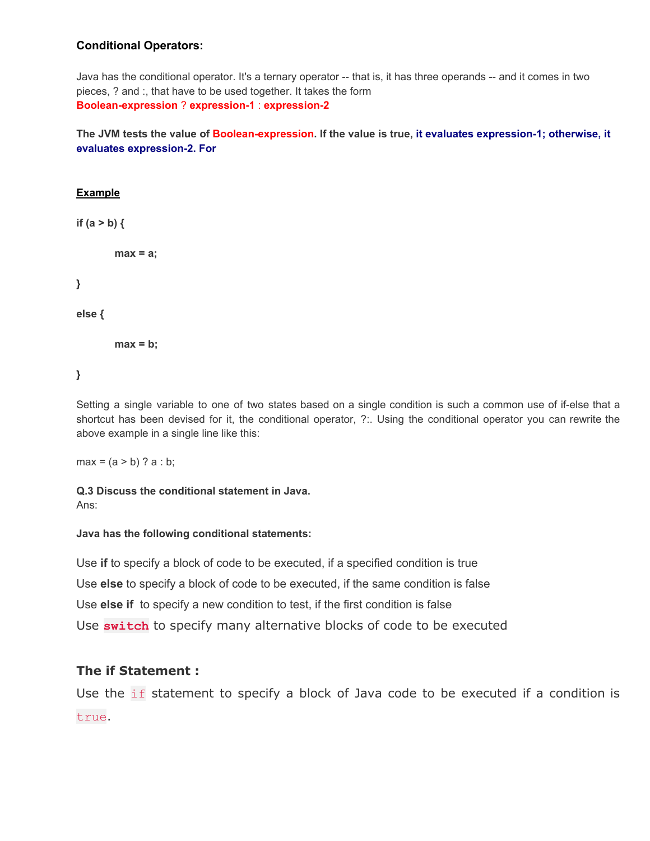#### **Conditional Operators:**

Java has the conditional operator. It's a ternary operator -- that is, it has three operands -- and it comes in two pieces, ? and :, that have to be used together. It takes the form **Boolean-expression** ? **expression-1** : **expression-2**

The JVM tests the value of Boolean-expression. If the value is true, it evaluates expression-1; otherwise, it **evaluates expression-2. For**

#### **Example**

**if (a > b) {**

```
max = a;
```
**}**

**else {**

**max = b;**

```
}
```
Setting a single variable to one of two states based on a single condition is such a common use of if-else that a shortcut has been devised for it, the conditional operator, ?:. Using the conditional operator you can rewrite the above example in a single line like this:

 $max = (a > b)$  ?  $a : b$ ;

**Q.3 Discuss the conditional statement in Java.** Ans:

#### **Java has the following conditional statements:**

Use **if** to specify a block of code to be executed, if a specified condition is true Use **else** to specify a block of code to be executed, if the same condition is false Use **else if** to specify a new condition to test, if the first condition is false Use **switch** to specify many alternative blocks of code to be executed

#### **The if Statement :**

Use the if statement to specify a block of Java code to be executed if a condition is true.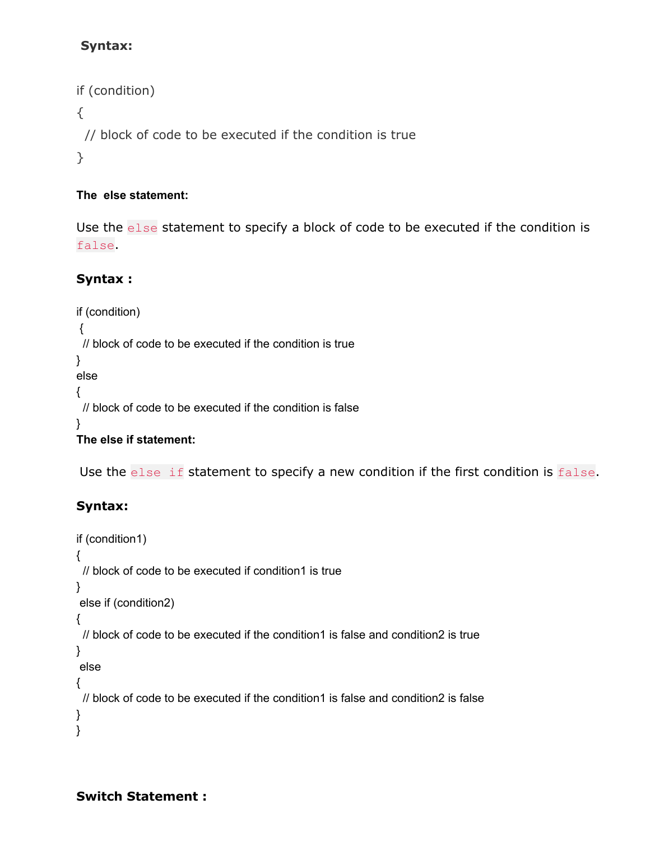# **Syntax:**

```
if (condition)
{
 // block of code to be executed if the condition is true
}
```
# **The else statement:**

Use the else statement to specify a block of code to be executed if the condition is false.

# **Syntax :**

```
if (condition)
{
 // block of code to be executed if the condition is true
}
else
{
 // block of code to be executed if the condition is false
}
The else if statement:
```
Use the else if statement to specify a new condition if the first condition is false.

# **Syntax:**

```
if (condition1)
{
 // block of code to be executed if condition1 is true
}
else if (condition2)
{
// block of code to be executed if the condition1 is false and condition2 is true
}
else
{
 // block of code to be executed if the condition1 is false and condition2 is false
}
}
```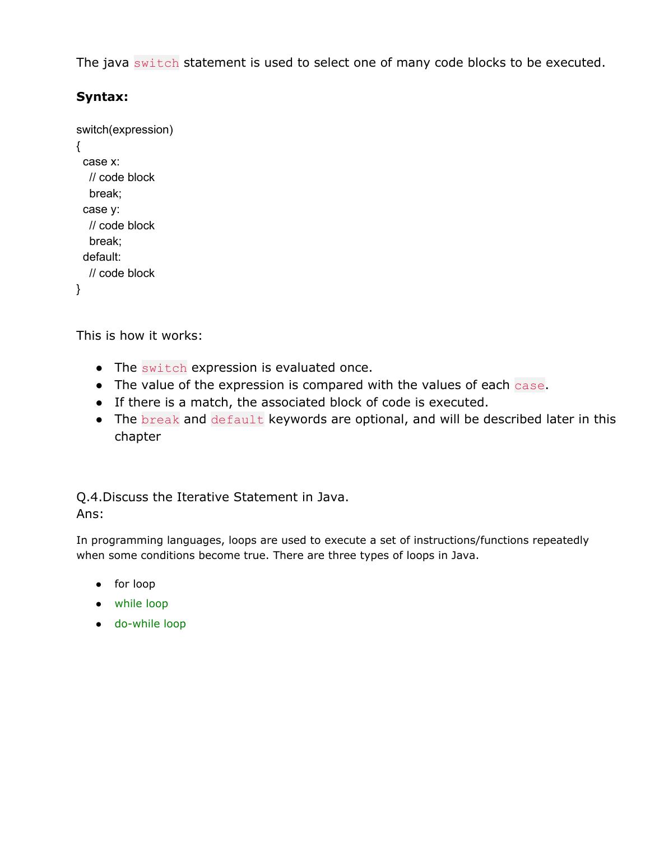The java switch statement is used to select one of many code blocks to be executed.

# **Syntax:**

```
switch(expression)
{
 case x:
  // code block
  break;
 case y:
  // code block
  break;
 default:
  // code block
}
```
This is how it works:

- The switch expression is evaluated once.
- The value of the expression is compared with the values of each case.
- If there is a match, the associated block of code is executed.
- The break and default keywords are optional, and will be described later in this chapter

Q.4.Discuss the Iterative Statement in Java. Ans:

In programming languages, loops are used to execute a set of instructions/functions repeatedly when some conditions become true. There are three types of loops in Java.

- for loop
- [while](https://www.javatpoint.com/java-while-loop) loop
- [do-while](https://www.javatpoint.com/java-do-while-loop) loop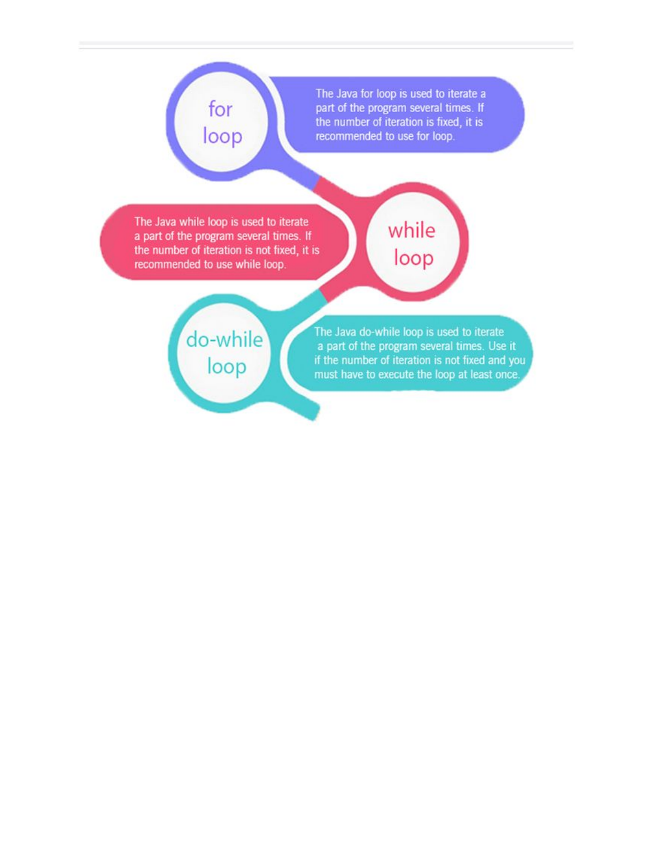# for loop

The Java for loop is used to iterate a part of the program several times. If the number of iteration is fixed, it is recommended to use for loop.

The Java while loop is used to iterate a part of the program several times. If the number of iteration is not fixed, it is recommended to use while loop.

# while loop

# do-while loop

The Java do-while loop is used to iterate a part of the program several times. Use it if the number of iteration is not fixed and you must have to execute the loop at least once.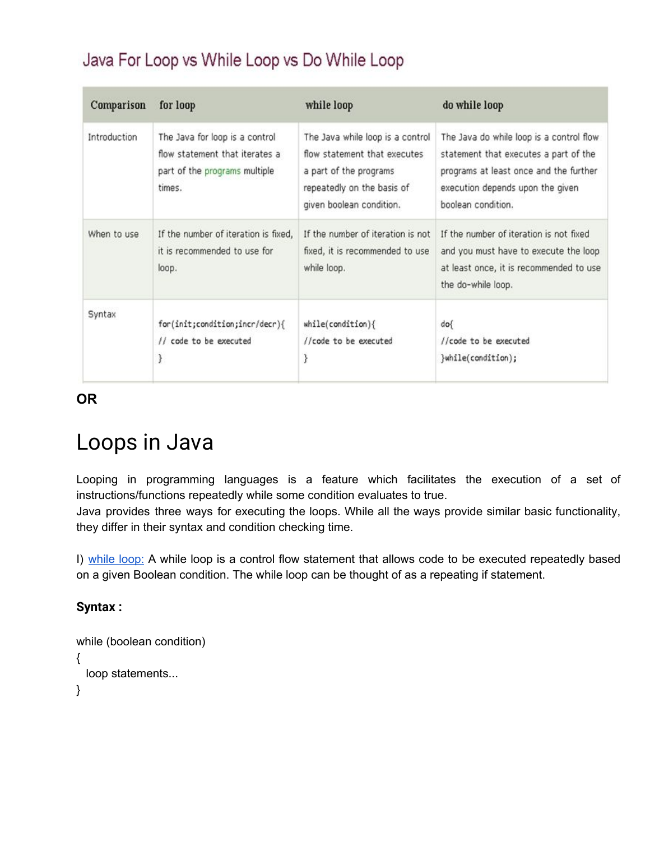# Java For Loop vs While Loop vs Do While Loop

| Comparison   | for loop                                                                                                    | while loop                                                                                                                                           | do while loop                                                                                                                                                                         |
|--------------|-------------------------------------------------------------------------------------------------------------|------------------------------------------------------------------------------------------------------------------------------------------------------|---------------------------------------------------------------------------------------------------------------------------------------------------------------------------------------|
| Introduction | The Java for loop is a control<br>flow statement that iterates a<br>part of the programs multiple<br>times. | The Java while loop is a control<br>flow statement that executes<br>a part of the programs<br>repeatedly on the basis of<br>given boolean condition. | The Java do while loop is a control flow<br>statement that executes a part of the<br>programs at least once and the further<br>execution depends upon the given<br>boolean condition. |
| When to use  | If the number of iteration is fixed.<br>it is recommended to use for<br>loop.                               | If the number of iteration is not<br>fixed, it is recommended to use<br>while loop.                                                                  | If the number of iteration is not fixed<br>and you must have to execute the loop<br>at least once, it is recommended to use<br>the do-while loop.                                     |
| Syntax       | for(init;condition;incr/decr){<br>// code to be executed<br>ł                                               | $while (condition) { }$<br>//code to be executed<br>J                                                                                                | dof<br>//code to be executed<br>}while(condition);                                                                                                                                    |

**OR**

# Loops in Java

Looping in programming languages is a feature which facilitates the execution of a set of instructions/functions repeatedly while some condition evaluates to true.

Java provides three ways for executing the loops. While all the ways provide similar basic functionality, they differ in their syntax and condition checking time.

I) [while](https://www.geeksforgeeks.org/java-while-loop-with-examples/) loop: A while loop is a control flow statement that allows code to be executed repeatedly based on a given Boolean condition. The while loop can be thought of as a repeating if statement.

# **Syntax :**

```
while (boolean condition)
{
 loop statements...
}
```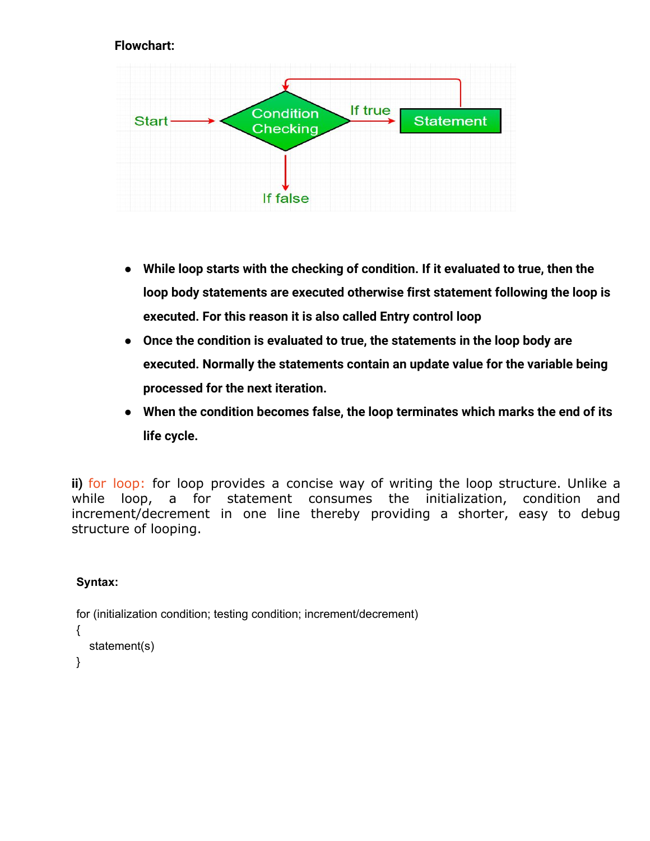# **Flowchart:**



- **● While loop starts with the checking of condition. If it evaluated to true, then the loop body statements are executed otherwise first statement following the loop is executed. For this reason it is also called Entry control loop**
- **● Once the condition is evaluated to true, the statements in the loop body are executed. Normally the statements contain an update value for the variable being processed for the next iteration.**
- **● When the condition becomes false, the loop terminates which marks the end of its life cycle.**

**ii)** for [loop:](https://www.geeksforgeeks.org/java-for-loop-with-examples/) for loop provides a concise way of writing the loop structure. Unlike a while loop, a for statement consumes the initialization, condition and increment/decrement in one line thereby providing a shorter, easy to debug structure of looping.

# **Syntax:**

for (initialization condition; testing condition; increment/decrement) { statement(s) }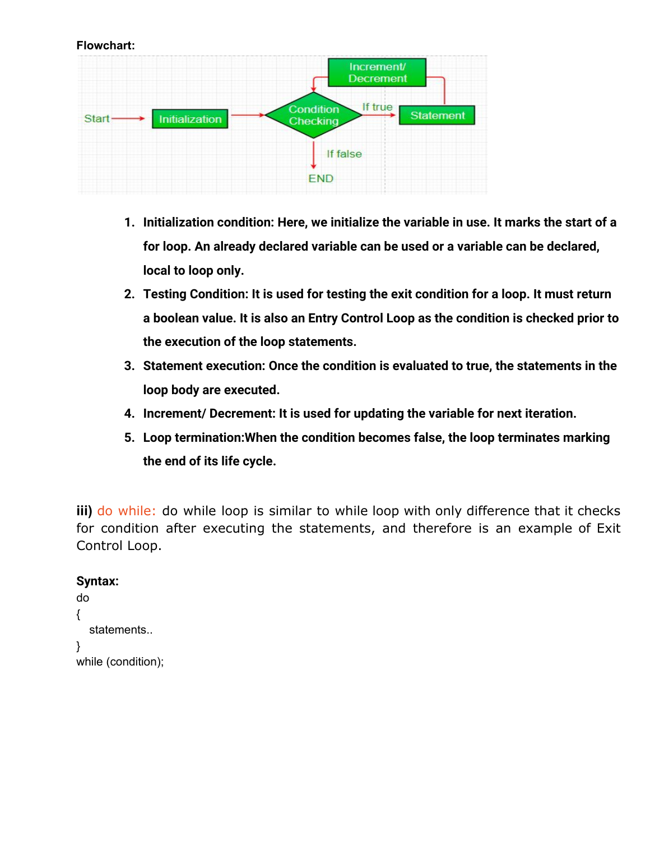#### **Flowchart:**



- **1. Initialization condition: Here, we initialize the variable in use. It marks the start of a for loop. An already declared variable can be used or a variable can be declared, local to loop only.**
- **2. Testing Condition: It is used for testing the exit condition for a loop. It must return a boolean value. It is also an Entry Control Loop as the condition is checked prior to the execution of the loop statements.**
- **3. Statement execution: Once the condition is evaluated to true, the statements in the loop body are executed.**
- **4. Increment/ Decrement: It is used for updating the variable for next iteration.**
- **5. Loop termination:When the condition becomes false, the loop terminates marking the end of its life cycle.**

**iii)** do [while:](https://www.geeksforgeeks.org/java-do-while-loop-with-examples/) do while loop is similar to while loop with only difference that it checks for condition after executing the statements, and therefore is an example of Exit Control Loop.

# **Syntax:**

```
do
{
  statements..
}
while (condition);
```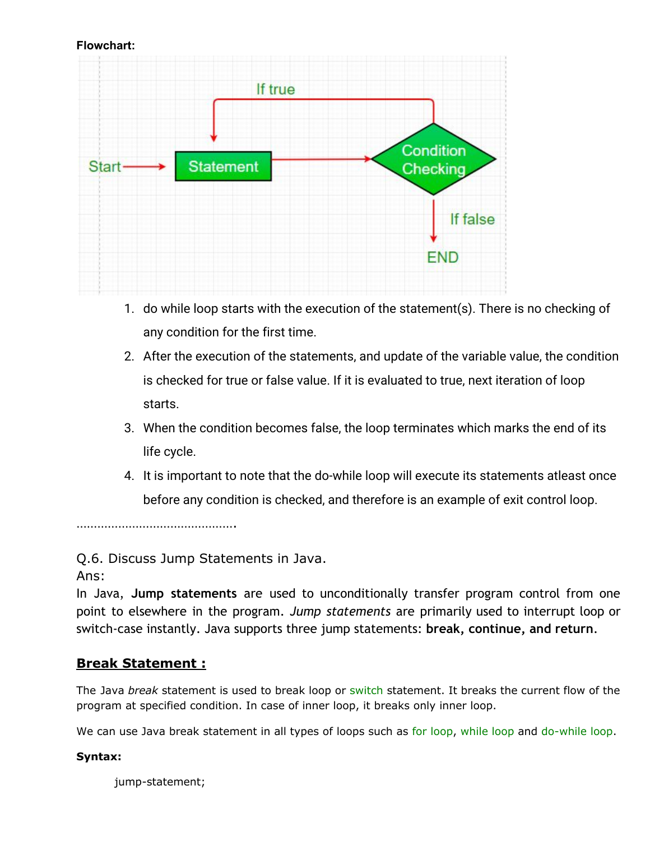#### **Flowchart:**



- 1. do while loop starts with the execution of the statement(s). There is no checking of any condition for the first time.
- 2. After the execution of the statements, and update of the variable value, the condition is checked for true or false value. If it is evaluated to true, next iteration of loop starts.
- 3. When the condition becomes false, the loop terminates which marks the end of its life cycle.
- 4. It is important to note that the do-while loop will execute its statements atleast once before any condition is checked, and therefore is an example of exit control loop.

……………………………………….

Q.6. Discuss Jump Statements in Java.

Ans:

In Java, **Jump statements** are used to unconditionally transfer program control from one point to elsewhere in the program. *Jump statements* are primarily used to interrupt loop or switch-case instantly. Java supports three jump statements: **break, continue, and return**.

# **Break Statement :**

The Java *break* statement is used to break loop or [switch](https://www.javatpoint.com/java-switch) statement. It breaks the current flow of the program at specified condition. In case of inner loop, it breaks only inner loop.

We can use Java break statement in all types of loops such as for [loop,](https://www.javatpoint.com/java-for-loop) [while](https://www.javatpoint.com/java-while-loop) loop and [do-while](https://www.javatpoint.com/java-do-while-loop) loop.

# **Syntax:**

jump-statement;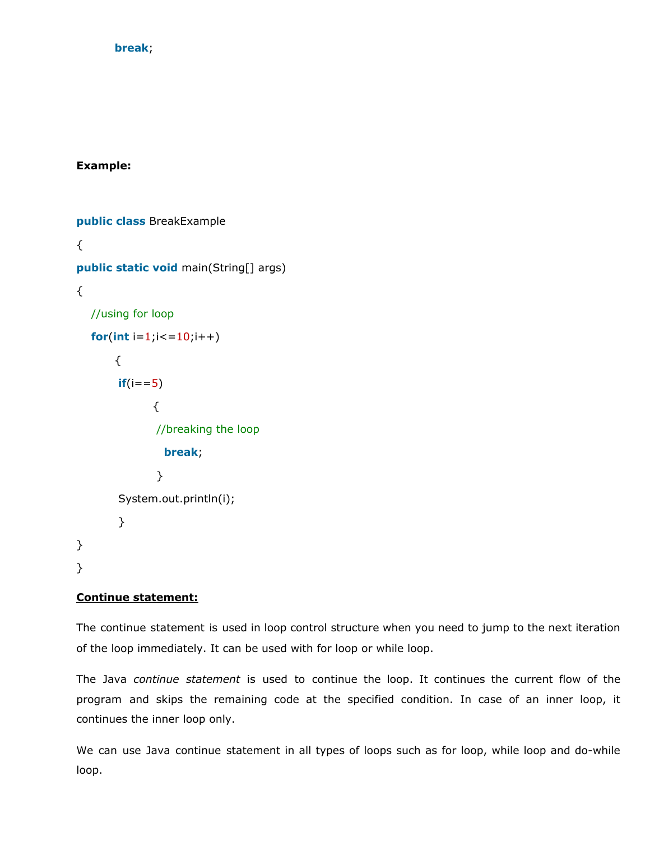#### **break**;

#### **Example:**

**public class** BreakExample { **public static void** main(String[] args) { //using for loop **for**( $int i = 1$ ; $i < 10$ ; $i + 1$ ) {  $if(i == 5)$ { //breaking the loop **break**; } System.out.println(i); } } }

#### **Continue statement:**

The continue statement is used in loop control structure when you need to jump to the next iteration of the loop immediately. It can be used with for loop or while loop.

The Java *continue statement* is used to continue the loop. It continues the current flow of the program and skips the remaining code at the specified condition. In case of an inner loop, it continues the inner loop only.

We can use Java continue statement in all types of loops such as for loop, while loop and do-while loop.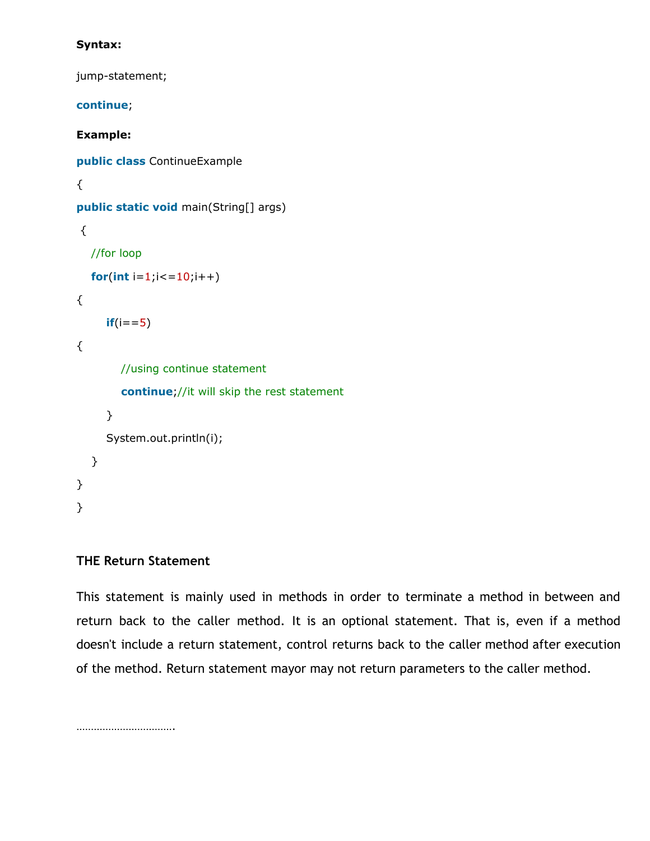### **Syntax:**

jump-statement;

**continue**; **Example: public class** ContinueExample { **public static void** main(String[] args) { //for loop **for(int**  $i=1$ ; $i<=10$ ; $i++$ ) {  $if(i == 5)$ { //using continue statement **continue**;//it will skip the rest statement } System.out.println(i); } } }

# **THE Return Statement**

This statement is mainly used in methods in order to terminate a method in between and return back to the caller method. It is an optional statement. That is, even if a method doesn't include a return statement, control returns back to the caller method after execution of the method. Return statement mayor may not return parameters to the caller method.

…………………………….